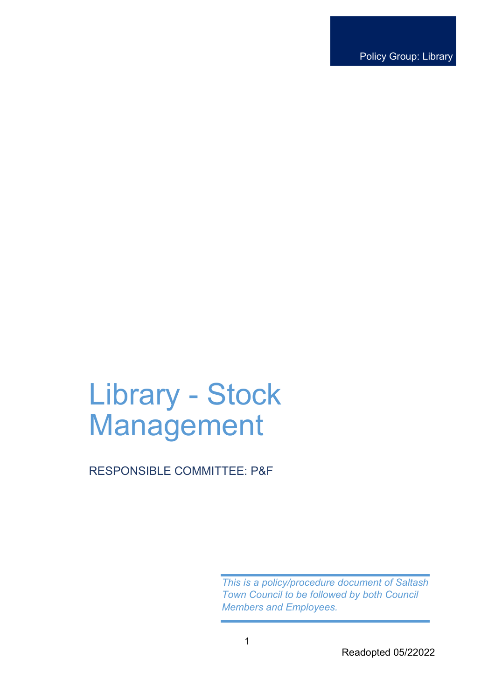Policy Group: Library

# Library - Stock Management

RESPONSIBLE COMMITTEE: P&F

*This is a policy/procedure document of Saltash Town Council to be followed by both Council Members and Employees.*

Readopted 05/22022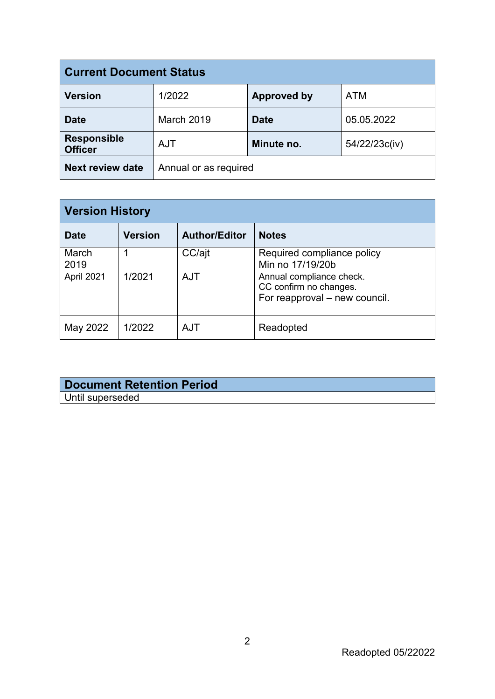| <b>Current Document Status</b>       |                       |                    |               |  |
|--------------------------------------|-----------------------|--------------------|---------------|--|
| <b>Version</b>                       | 1/2022                | <b>Approved by</b> | <b>ATM</b>    |  |
| <b>Date</b>                          | <b>March 2019</b>     | <b>Date</b>        | 05.05.2022    |  |
| <b>Responsible</b><br><b>Officer</b> | <b>AJT</b>            | Minute no.         | 54/22/23c(iv) |  |
| <b>Next review date</b>              | Annual or as required |                    |               |  |

| <b>Version History</b> |                |                      |                                                                                     |  |
|------------------------|----------------|----------------------|-------------------------------------------------------------------------------------|--|
| <b>Date</b>            | <b>Version</b> | <b>Author/Editor</b> | <b>Notes</b>                                                                        |  |
| March<br>2019          |                | CC/ajt               | Required compliance policy<br>Min no 17/19/20b                                      |  |
| April 2021             | 1/2021         | <b>AJT</b>           | Annual compliance check.<br>CC confirm no changes.<br>For reapproval – new council. |  |
| May 2022               | 1/2022         | AJT                  | Readopted                                                                           |  |

# **Document Retention Period** Until superseded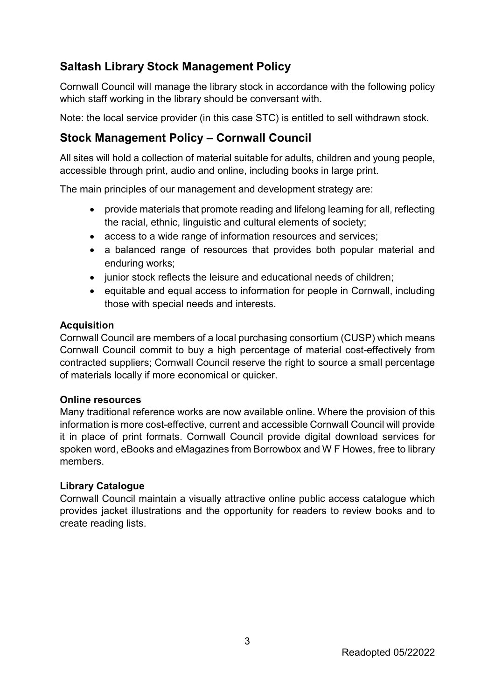# **Saltash Library Stock Management Policy**

Cornwall Council will manage the library stock in accordance with the following policy which staff working in the library should be conversant with.

Note: the local service provider (in this case STC) is entitled to sell withdrawn stock.

# **Stock Management Policy – Cornwall Council**

All sites will hold a collection of material suitable for adults, children and young people, accessible through print, audio and online, including books in large print.

The main principles of our management and development strategy are:

- provide materials that promote reading and lifelong learning for all, reflecting the racial, ethnic, linguistic and cultural elements of society;
- access to a wide range of information resources and services;
- a balanced range of resources that provides both popular material and enduring works;
- junior stock reflects the leisure and educational needs of children;
- equitable and equal access to information for people in Cornwall, including those with special needs and interests.

# **Acquisition**

Cornwall Council are members of a local purchasing consortium (CUSP) which means Cornwall Council commit to buy a high percentage of material cost-effectively from contracted suppliers; Cornwall Council reserve the right to source a small percentage of materials locally if more economical or quicker.

#### **Online resources**

Many traditional reference works are now available online. Where the provision of this information is more cost-effective, current and accessible Cornwall Council will provide it in place of print formats. Cornwall Council provide digital download services for spoken word, eBooks and eMagazines from Borrowbox and W F Howes, free to library members.

# **Library Catalogue**

Cornwall Council maintain a visually attractive online public access catalogue which provides jacket illustrations and the opportunity for readers to review books and to create reading lists.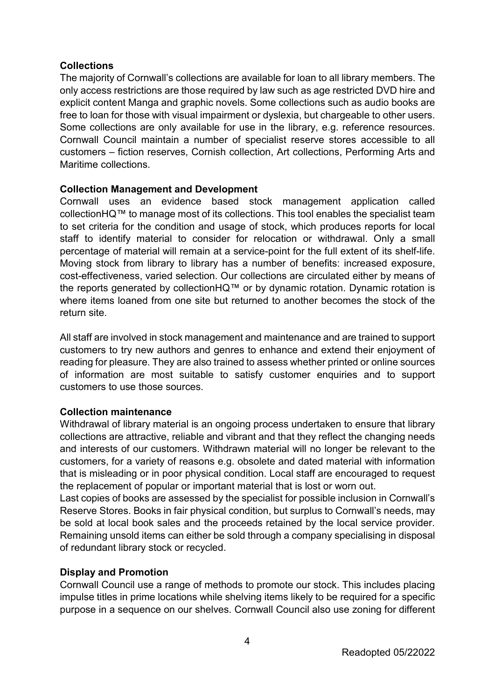#### **Collections**

The majority of Cornwall's collections are available for loan to all library members. The only access restrictions are those required by law such as age restricted DVD hire and explicit content Manga and graphic novels. Some collections such as audio books are free to loan for those with visual impairment or dyslexia, but chargeable to other users. Some collections are only available for use in the library, e.g. reference resources. Cornwall Council maintain a number of specialist reserve stores accessible to all customers – fiction reserves, Cornish collection, Art collections, Performing Arts and Maritime collections.

#### **Collection Management and Development**

Cornwall uses an evidence based stock management application called collectionHQ™ to manage most of its collections. This tool enables the specialist team to set criteria for the condition and usage of stock, which produces reports for local staff to identify material to consider for relocation or withdrawal. Only a small percentage of material will remain at a service-point for the full extent of its shelf-life. Moving stock from library to library has a number of benefits: increased exposure, cost-effectiveness, varied selection. Our collections are circulated either by means of the reports generated by collectionHQ™ or by dynamic rotation. Dynamic rotation is where items loaned from one site but returned to another becomes the stock of the return site.

All staff are involved in stock management and maintenance and are trained to support customers to try new authors and genres to enhance and extend their enjoyment of reading for pleasure. They are also trained to assess whether printed or online sources of information are most suitable to satisfy customer enquiries and to support customers to use those sources.

#### **Collection maintenance**

Withdrawal of library material is an ongoing process undertaken to ensure that library collections are attractive, reliable and vibrant and that they reflect the changing needs and interests of our customers. Withdrawn material will no longer be relevant to the customers, for a variety of reasons e.g. obsolete and dated material with information that is misleading or in poor physical condition. Local staff are encouraged to request the replacement of popular or important material that is lost or worn out.

Last copies of books are assessed by the specialist for possible inclusion in Cornwall's Reserve Stores. Books in fair physical condition, but surplus to Cornwall's needs, may be sold at local book sales and the proceeds retained by the local service provider. Remaining unsold items can either be sold through a company specialising in disposal of redundant library stock or recycled.

# **Display and Promotion**

Cornwall Council use a range of methods to promote our stock. This includes placing impulse titles in prime locations while shelving items likely to be required for a specific purpose in a sequence on our shelves. Cornwall Council also use zoning for different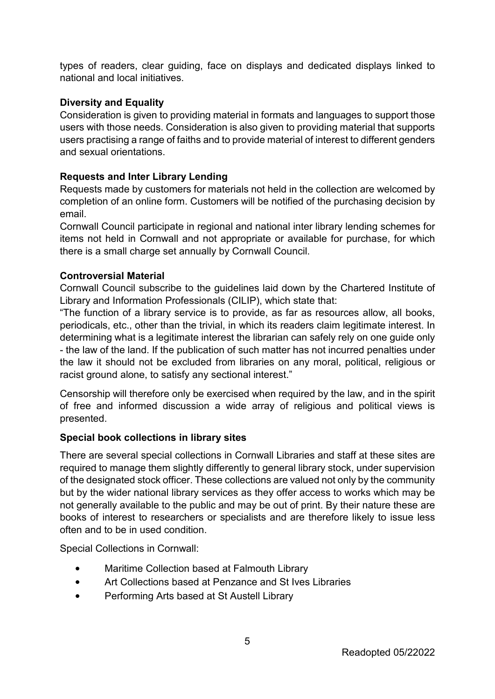types of readers, clear guiding, face on displays and dedicated displays linked to national and local initiatives.

## **Diversity and Equality**

Consideration is given to providing material in formats and languages to support those users with those needs. Consideration is also given to providing material that supports users practising a range of faiths and to provide material of interest to different genders and sexual orientations.

# **Requests and Inter Library Lending**

Requests made by customers for materials not held in the collection are welcomed by completion of an online form. Customers will be notified of the purchasing decision by email.

Cornwall Council participate in regional and national inter library lending schemes for items not held in Cornwall and not appropriate or available for purchase, for which there is a small charge set annually by Cornwall Council.

#### **Controversial Material**

Cornwall Council subscribe to the guidelines laid down by the Chartered Institute of Library and Information Professionals (CILIP), which state that:

"The function of a library service is to provide, as far as resources allow, all books, periodicals, etc., other than the trivial, in which its readers claim legitimate interest. In determining what is a legitimate interest the librarian can safely rely on one guide only - the law of the land. If the publication of such matter has not incurred penalties under the law it should not be excluded from libraries on any moral, political, religious or racist ground alone, to satisfy any sectional interest."

Censorship will therefore only be exercised when required by the law, and in the spirit of free and informed discussion a wide array of religious and political views is presented.

#### **Special book collections in library sites**

There are several special collections in Cornwall Libraries and staff at these sites are required to manage them slightly differently to general library stock, under supervision of the designated stock officer. These collections are valued not only by the community but by the wider national library services as they offer access to works which may be not generally available to the public and may be out of print. By their nature these are books of interest to researchers or specialists and are therefore likely to issue less often and to be in used condition.

Special Collections in Cornwall:

- Maritime Collection based at Falmouth Library
- Art Collections based at Penzance and St Ives Libraries
- Performing Arts based at St Austell Library